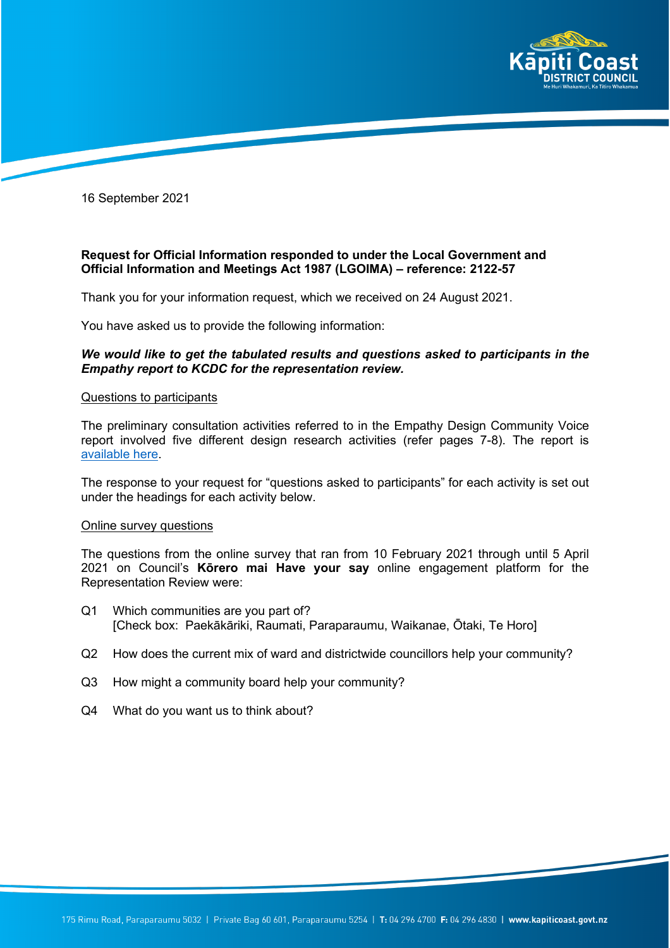

16 September 2021

# **Request for Official Information responded to under the Local Government and Official Information and Meetings Act 1987 (LGOIMA) – reference: 2122-57**

Thank you for your information request, which we received on 24 August 2021.

You have asked us to provide the following information:

# *We would like to get the tabulated results and questions asked to participants in the Empathy report to KCDC for the representation review.*

## Questions to participants

The preliminary consultation activities referred to in the Empathy Design Community Voice report involved five different design research activities (refer pages 7-8). The report is [available here.](https://www.kapiticoast.govt.nz/media/40208/community-voice-for-representation-review-2021.pdf)

The response to your request for "questions asked to participants" for each activity is set out under the headings for each activity below.

## Online survey questions

The questions from the online survey that ran from 10 February 2021 through until 5 April 2021 on Council's **Kōrero mai Have your say** online engagement platform for the Representation Review were:

- Q1 Which communities are you part of? [Check box: Paekākāriki, Raumati, Paraparaumu, Waikanae, Ōtaki, Te Horo]
- Q2 How does the current mix of ward and districtwide councillors help your community?
- Q3 How might a community board help your community?
- Q4 What do you want us to think about?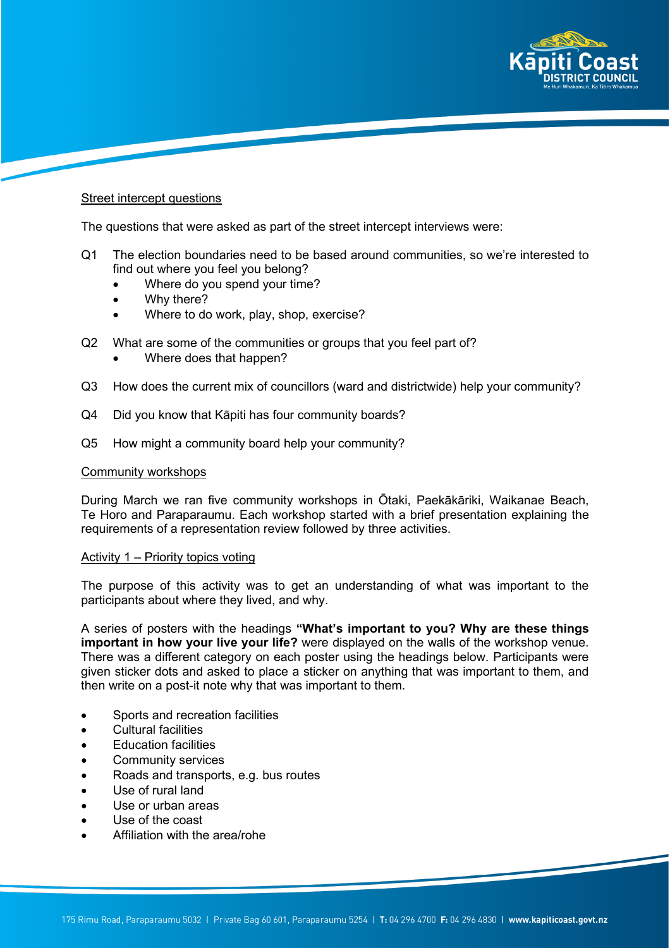

## Street intercept questions

The questions that were asked as part of the street intercept interviews were:

- Q1 The election boundaries need to be based around communities, so we're interested to find out where you feel you belong?
	- Where do you spend your time?
	- Why there?
	- Where to do work, play, shop, exercise?
- Q2 What are some of the communities or groups that you feel part of?
	- Where does that happen?
- Q3 How does the current mix of councillors (ward and districtwide) help your community?
- Q4 Did you know that Kāpiti has four community boards?
- Q5 How might a community board help your community?

#### Community workshops

During March we ran five community workshops in Ōtaki, Paekākāriki, Waikanae Beach, Te Horo and Paraparaumu. Each workshop started with a brief presentation explaining the requirements of a representation review followed by three activities.

## Activity 1 – Priority topics voting

The purpose of this activity was to get an understanding of what was important to the participants about where they lived, and why.

A series of posters with the headings **"What's important to you? Why are these things important in how your live your life?** were displayed on the walls of the workshop venue. There was a different category on each poster using the headings below. Participants were given sticker dots and asked to place a sticker on anything that was important to them, and then write on a post-it note why that was important to them.

- Sports and recreation facilities
- Cultural facilities
- Education facilities
- Community services
- Roads and transports, e.g. bus routes
- Use of rural land
- Use or urban areas
- Use of the coast
- Affiliation with the area/rohe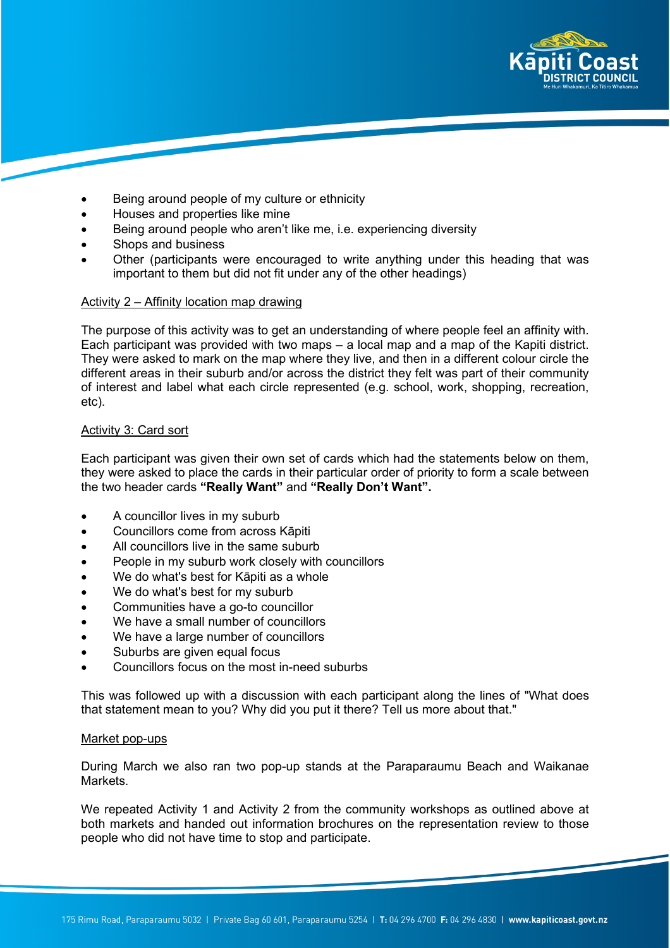

- Being around people of my culture or ethnicity
- Houses and properties like mine
- Being around people who aren't like me, i.e. experiencing diversity
- Shops and business
- Other (participants were encouraged to write anything under this heading that was important to them but did not fit under any of the other headings)

## Activity 2 – Affinity location map drawing

The purpose of this activity was to get an understanding of where people feel an affinity with. Each participant was provided with two maps – a local map and a map of the Kapiti district. They were asked to mark on the map where they live, and then in a different colour circle the different areas in their suburb and/or across the district they felt was part of their community of interest and label what each circle represented (e.g. school, work, shopping, recreation, etc).

## **Activity 3: Card sort**

Each participant was given their own set of cards which had the statements below on them, they were asked to place the cards in their particular order of priority to form a scale between the two header cards **"Really Want"** and **"Really Don't Want".**

- A councillor lives in my suburb
- Councillors come from across Kāpiti
- All councillors live in the same suburb
- People in my suburb work closely with councillors
- We do what's best for Kāpiti as a whole
- We do what's best for my suburb
- Communities have a go-to councillor
- We have a small number of councillors
- We have a large number of councillors
- Suburbs are given equal focus
- Councillors focus on the most in-need suburbs

This was followed up with a discussion with each participant along the lines of "What does that statement mean to you? Why did you put it there? Tell us more about that."

#### Market pop-ups

During March we also ran two pop-up stands at the Paraparaumu Beach and Waikanae **Markets** 

We repeated Activity 1 and Activity 2 from the community workshops as outlined above at both markets and handed out information brochures on the representation review to those people who did not have time to stop and participate.